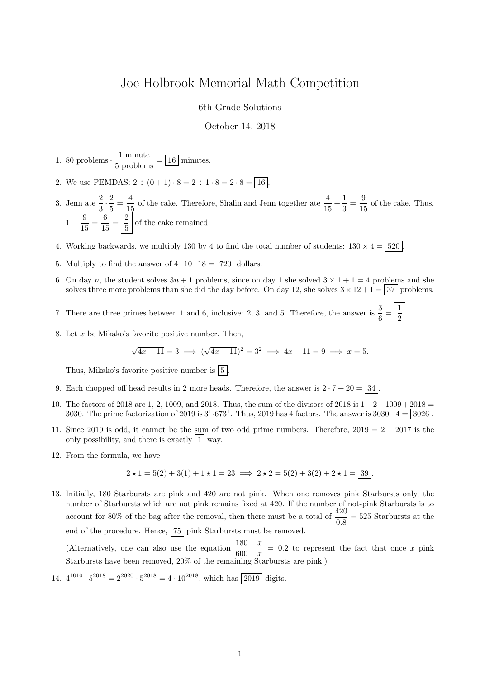## Joe Holbrook Memorial Math Competition

6th Grade Solutions

## October 14, 2018

- 1. 80 problems  $\cdot \frac{1 \text{ minute}}{5 \text{ problems}} = \boxed{16}$  minutes.
- 2. We use PEMDAS:  $2 \div (0 + 1) \cdot 8 = 2 \div 1 \cdot 8 = 2 \cdot 8 = 16$
- 3. Jenn ate  $\frac{2}{3} \cdot \frac{2}{5}$  $\frac{2}{5} = \frac{4}{15}$  $\frac{4}{15}$  of the cake. Therefore, Shalin and Jenn together ate  $\frac{4}{15} + \frac{1}{3}$  $\frac{1}{3} = \frac{9}{15}$  $\frac{6}{15}$  of the cake. Thus,  $1-\frac{9}{11}$  $\frac{9}{15} = \frac{6}{15}$  $\frac{6}{15} = \frac{2}{5}$  $\frac{2}{5}$  of the cake remained.
- 4. Working backwards, we multiply 130 by 4 to find the total number of students:  $130 \times 4 = 520$
- 5. Multiply to find the answer of  $4 \cdot 10 \cdot 18 = 720$  dollars.
- 6. On day n, the student solves  $3n + 1$  problems, since on day 1 she solved  $3 \times 1 + 1 = 4$  problems and she solves three more problems than she did the day before. On day 12, she solves  $3 \times 12 + 1 = 37$  problems.
- 7. There are three primes between 1 and 6, inclusive: 2, 3, and 5. Therefore, the answer is  $\frac{3}{6} = \frac{1}{2}$  $\frac{1}{2}$
- 8. Let  $x$  be Mikako's favorite positive number. Then,

$$
\sqrt{4x - 11} = 3 \implies (\sqrt{4x - 11})^2 = 3^2 \implies 4x - 11 = 9 \implies x = 5.
$$

Thus, Mikako's favorite positive number is  $\boxed{5}$ .

- 9. Each chopped off head results in 2 more heads. Therefore, the answer is  $2 \cdot 7 + 20 = 34$
- 10. The factors of 2018 are 1, 2, 1009, and 2018. Thus, the sum of the divisors of 2018 is  $1+2+1009+2018$ 3030. The prime factorization of 2019 is  $3^1.673^1$ . Thus, 2019 has 4 factors. The answer is  $3030-4 = 3026$ .
- 11. Since 2019 is odd, it cannot be the sum of two odd prime numbers. Therefore,  $2019 = 2 + 2017$  is the only possibility, and there is exactly  $\boxed{1}$  way.
- 12. From the formula, we have

$$
2 \star 1 = 5(2) + 3(1) + 1 \star 1 = 23 \implies 2 \star 2 = 5(2) + 3(2) + 2 \star 1 = \boxed{39}.
$$

13. Initially, 180 Starbursts are pink and 420 are not pink. When one removes pink Starbursts only, the number of Starbursts which are not pink remains fixed at 420. If the number of not-pink Starbursts is to account for 80% of the bag after the removal, then there must be a total of  $\frac{420}{0.8} = 525$  Starbursts at the end of the procedure. Hence,  $\boxed{75}$  pink Starbursts must be removed.

(Alternatively, one can also use the equation  $\frac{180 - x}{600 - x} = 0.2$  to represent the fact that once x pink Starbursts have been removed, 20% of the remaining Starbursts are pink.)

14.  $4^{1010} \cdot 5^{2018} = 2^{2020} \cdot 5^{2018} = 4 \cdot 10^{2018}$ , which has  $\boxed{2019}$  digits.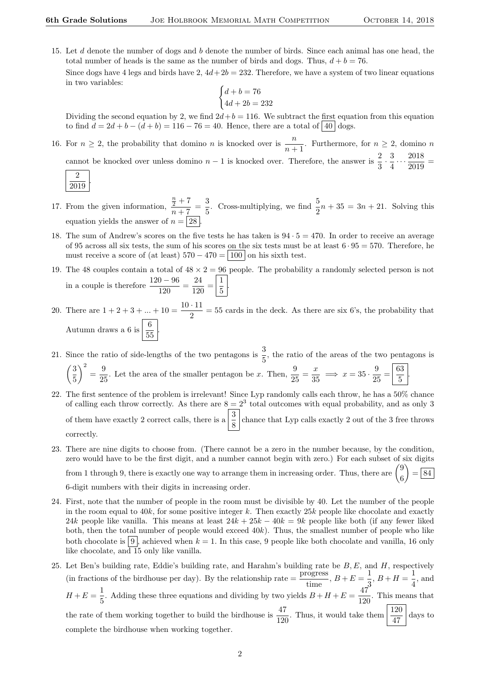15. Let d denote the number of dogs and b denote the number of birds. Since each animal has one head, the total number of heads is the same as the number of birds and dogs. Thus,  $d + b = 76$ . Since dogs have 4 legs and birds have 2,  $4d+2b = 232$ . Therefore, we have a system of two linear equations in two variables:

$$
\begin{cases}\n d + b = 76 \\
4d + 2b = 232\n\end{cases}
$$

Dividing the second equation by 2, we find  $2d+b = 116$ . We subtract the first equation from this equation to find  $d = 2d + b - (d + b) = 116 - 76 = 40$ . Hence, there are a total of  $\boxed{40}$  dogs.

16. For  $n \geq 2$ , the probability that domino n is knocked over is  $\frac{n}{n+1}$ . Furthermore, for  $n \geq 2$ , domino n cannot be knocked over unless domino  $n-1$  is knocked over. Therefore, the answer is  $\frac{2}{3} \cdot \frac{3}{4}$  $\frac{3}{4} \cdots \frac{2018}{2019}$  $\frac{2010}{2019}$  = 2 .



- 17. From the given information,  $\frac{n}{2} + 7$  $\frac{\frac{n}{2}+7}{n+7}=\frac{3}{5}$  $\frac{3}{5}$ . Cross-multiplying, we find  $\frac{5}{2}n + 35 = 3n + 21$ . Solving this equation yields the answer of  $n = 28$
- 18. The sum of Andrew's scores on the five tests he has taken is  $94 \cdot 5 = 470$ . In order to receive an average of 95 across all six tests, the sum of his scores on the six tests must be at least  $6 \cdot 95 = 570$ . Therefore, he must receive a score of (at least)  $570 - 470 = |100|$  on his sixth test.
- 19. The 48 couples contain a total of  $48 \times 2 = 96$  people. The probability a randomly selected person is not in a couple is therefore  $\frac{120 - 96}{120} = \frac{24}{120}$  $\frac{24}{120} = \frac{1}{5}$  $\frac{1}{5}$
- 20. There are  $1+2+3+\ldots+10=\frac{10\cdot 11}{2}$  $\frac{1}{2}$  = 55 cards in the deck. As there are six 6's, the probability that Autumn draws a 6 is  $\left| \frac{6}{55} \right|$ .

21. Since the ratio of side-lengths of the two pentagons is  $\frac{3}{5}$ , the ratio of the areas of the two pentagons is  $\sqrt{3}$ 5  $\bigg\}^2 = \frac{9}{2}$  $\frac{9}{25}$ . Let the area of the smaller pentagon be x. Then,  $\frac{9}{25} = \frac{x}{35}$  $rac{x}{35} \implies x = 35 \cdot \frac{9}{25}$  $\frac{9}{25} = \frac{63}{5}$  $\frac{5}{5}$ 

- 22. The first sentence of the problem is irrelevant! Since Lyp randomly calls each throw, he has a 50% chance of calling each throw correctly. As there are  $8 = 2<sup>3</sup>$  total outcomes with equal probability, and as only 3 of them have exactly 2 correct calls, there is a  $\frac{3}{8}$  chance that Lyp calls exactly 2 out of the 3 free throws correctly.
- 23. There are nine digits to choose from. (There cannot be a zero in the number because, by the condition, zero would have to be the first digit, and a number cannot begin with zero.) For each subset of six digits from 1 through 9, there is exactly one way to arrange them in increasing order. Thus, there are  $\binom{9}{9}$ 6  $\left( \right) = \sqrt{84}$ 6-digit numbers with their digits in increasing order.
- 24. First, note that the number of people in the room must be divisible by 40. Let the number of the people in the room equal to  $40k$ , for some positive integer k. Then exactly  $25k$  people like chocolate and exactly 24k people like vanilla. This means at least  $24k + 25k - 40k = 9k$  people like both (if any fewer liked both, then the total number of people would exceed  $40k$ ). Thus, the smallest number of people who like both chocolate is  $\boxed{9}$ , achieved when  $k = 1$ . In this case, 9 people like both chocolate and vanilla, 16 only like chocolate, and 15 only like vanilla.
- 25. Let Ben's building rate, Eddie's building rate, and Harahm's building rate be  $B, E$ , and  $H$ , respectively (in fractions of the birdhouse per day). By the relationship rate  $=\frac{\text{progress}}{\text{time}}$ ,  $B + E = \frac{1}{3}$  $\frac{1}{3}$ ,  $B + H = \frac{1}{4}$  $\frac{1}{4}$ , and  $H + E = \frac{1}{5}$  $\frac{1}{5}$ . Adding these three equations and dividing by two yields  $B + H + E = \frac{47}{120}$  $\frac{11}{120}$ . This means that the rate of them working together to build the birdhouse is  $\frac{47}{120}$ . Thus, it would take them  $\frac{120}{47}$  days to complete the birdhouse when working together.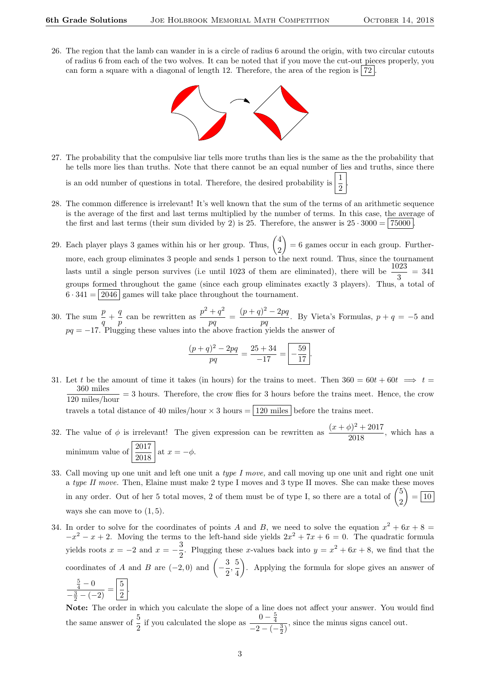26. The region that the lamb can wander in is a circle of radius 6 around the origin, with two circular cutouts of radius 6 from each of the two wolves. It can be noted that if you move the cut-out pieces properly, you can form a square with a diagonal of length 12. Therefore, the area of the region is  $|72|$ 



- 27. The probability that the compulsive liar tells more truths than lies is the same as the the probability that he tells more lies than truths. Note that there cannot be an equal number of lies and truths, since there is an odd number of questions in total. Therefore, the desired probability is  $\frac{1}{2}$ .
- 28. The common difference is irrelevant! It's well known that the sum of the terms of an arithmetic sequence is the average of the first and last terms multiplied by the number of terms. In this case, the average of the first and last terms (their sum divided by 2) is 25. Therefore, the answer is  $25 \cdot 3000 = | 75000 |$ .
- 29. Each player plays 3 games within his or her group. Thus,  $\begin{pmatrix} 4 \\ 0 \end{pmatrix}$ 2  $= 6$  games occur in each group. Furthermore, each group eliminates 3 people and sends 1 person to the next round. Thus, since the tournament lasts until a single person survives (i.e until 1023 of them are eliminated), there will be  $\frac{1023}{3} = 341$ groups formed throughout the game (since each group eliminates exactly 3 players). Thus, a total of  $6 \cdot 341 = 2046$  games will take place throughout the tournament.
- 30. The sum  $\frac{p}{q} + \frac{q}{p}$  $\frac{q}{p}$  can be rewritten as  $\frac{p^2+q^2}{pq}$  $\frac{+q^2}{pq} = \frac{(p+q)^2 - 2pq}{pq}$  $\frac{p}{pq}$ . By Vieta's Formulas,  $p + q = -5$  and  $pq = -17$ . Plugging these values into the above fraction yields the answer of

$$
\frac{(p+q)^2 - 2pq}{pq} = \frac{25 + 34}{-17} = \boxed{-\frac{59}{17}}.
$$

- 31. Let t be the amount of time it takes (in hours) for the trains to meet. Then  $360 = 60t + 60t \implies t =$ 360 miles  $\frac{300 \text{ miles}}{120 \text{ miles/hour}}$  = 3 hours. Therefore, the crow flies for 3 hours before the trains meet. Hence, the crow travels a total distance of 40 miles/hour  $\times$  3 hours =  $\boxed{120}$  miles before the trains meet.
- 32. The value of  $\phi$  is irrelevant! The given expression can be rewritten as  $\frac{(x + \phi)^2 + 2017}{0.019}$  $\frac{2018}{2018}$ , which has a minimum value of  $\frac{2017}{2018}$  at  $x = -\phi$ .
- 33. Call moving up one unit and left one unit a type I move, and call moving up one unit and right one unit a type II move. Then, Elaine must make 2 type I moves and 3 type II moves. She can make these moves in any order. Out of her 5 total moves, 2 of them must be of type I, so there are a total of  $\binom{5}{5}$ 2  $\Big) = \boxed{10}$ ways she can move to  $(1, 5)$ .
- 34. In order to solve for the coordinates of points A and B, we need to solve the equation  $x^2 + 6x + 8 =$  $-x^2 - x + 2$ . Moving the terms to the left-hand side yields  $2x^2 + 7x + 6 = 0$ . The quadratic formula yields roots  $x = -2$  and  $x = -\frac{3}{2}$  $\frac{3}{2}$ . Plugging these x-values back into  $y = x^2 + 6x + 8$ , we find that the coordinates of A and B are  $(-2,0)$  and  $\left(-\frac{3}{2}\right)$  $\frac{3}{2}, \frac{5}{4}$ 4 . Applying the formula for slope gives an answer of  $\frac{5}{4} - 0$  $\frac{\frac{5}{4}-0}{-\frac{3}{2}-(-2)}=\frac{5}{2}$  $rac{1}{2}$

Note: The order in which you calculate the slope of a line does not affect your answer. You would find the same answer of  $\frac{5}{2}$  if you calculated the slope as  $\frac{0-\frac{5}{4}}{-2-(-1)}$  $\frac{1}{-2-(-\frac{3}{2})}$ , since the minus signs cancel out.